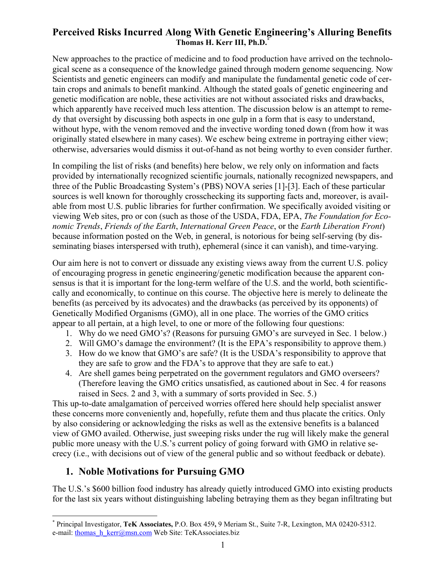# **Perceived Risks Incurred Along With Genetic Engineering's Alluring Benefits Thomas H. Kerr III, Ph.D[.\\*](#page-0-0)**

New approaches to the practice of medicine and to food production have arrived on the technological scene as a consequence of the knowledge gained through modern genome sequencing. Now Scientists and genetic engineers can modify and manipulate the fundamental genetic code of certain crops and animals to benefit mankind. Although the stated goals of genetic engineering and genetic modification are noble, these activities are not without associated risks and drawbacks, which apparently have received much less attention. The discussion below is an attempt to remedy that oversight by discussing both aspects in one gulp in a form that is easy to understand, without hype, with the venom removed and the invective wording toned down (from how it was originally stated elsewhere in many cases). We eschew being extreme in portraying either view; otherwise, adversaries would dismiss it out-of-hand as not being worthy to even consider further.

In compiling the list of risks (and benefits) here below, we rely only on information and facts provided by internationally recognized scientific journals, nationally recognized newspapers, and three of the Public Broadcasting System's (PBS) NOVA series [1]-[3]. Each of these particular sources is well known for thoroughly crosschecking its supporting facts and, moreover, is available from most U.S. public libraries for further confirmation. We specifically avoided visiting or viewing Web sites, pro or con (such as those of the USDA, FDA, EPA, *The Foundation for Economic Trends*, *Friends of the Earth*, *International Green Peace*, or the *Earth Liberation Front*) because information posted on the Web, in general, is notorious for being self-serving (by disseminating biases interspersed with truth), ephemeral (since it can vanish), and time-varying.

Our aim here is not to convert or dissuade any existing views away from the current U.S. policy of encouraging progress in genetic engineering/genetic modification because the apparent consensus is that it is important for the long-term welfare of the U.S. and the world, both scientificcally and economically, to continue on this course. The objective here is merely to delineate the benefits (as perceived by its advocates) and the drawbacks (as perceived by its opponents) of Genetically Modified Organisms (GMO), all in one place. The worries of the GMO critics appear to all pertain, at a high level, to one or more of the following four questions:

- 1. Why do we need GMO's? (Reasons for pursuing GMO's are surveyed in Sec. 1 below.)
- 2. Will GMO's damage the environment? (It is the EPA's responsibility to approve them.)
- 3. How do we know that GMO's are safe? (It is the USDA's responsibility to approve that they are safe to grow and the FDA's to approve that they are safe to eat.)
- 4. Are shell games being perpetrated on the government regulators and GMO overseers? (Therefore leaving the GMO critics unsatisfied, as cautioned about in Sec. 4 for reasons raised in Secs. 2 and 3, with a summary of sorts provided in Sec. 5.)

This up-to-date amalgamation of perceived worries offered here should help specialist answer these concerns more conveniently and, hopefully, refute them and thus placate the critics. Only by also considering or acknowledging the risks as well as the extensive benefits is a balanced view of GMO availed. Otherwise, just sweeping risks under the rug will likely make the general public more uneasy with the U.S.'s current policy of going forward with GMO in relative secrecy (i.e., with decisions out of view of the general public and so without feedback or debate).

# **1. Noble Motivations for Pursuing GMO**

 $\overline{a}$ 

The U.S.'s \$600 billion food industry has already quietly introduced GMO into existing products for the last six years without distinguishing labeling betraying them as they began infiltrating but

<span id="page-0-0"></span><sup>\*</sup> Principal Investigator, **TeK Associates,** P.O. Box 459**,** 9 Meriam St., Suite 7-R, Lexington, MA 02420-5312. e-mail: thomas h\_kerr@msn.com Web Site: TeKAssociates.biz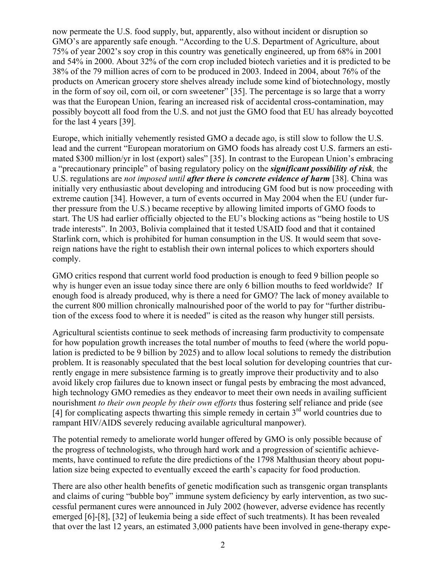now permeate the U.S. food supply, but, apparently, also without incident or disruption so GMO's are apparently safe enough. "According to the U.S. Department of Agriculture, about 75% of year 2002's soy crop in this country was genetically engineered, up from 68% in 2001 and 54% in 2000. About 32% of the corn crop included biotech varieties and it is predicted to be 38% of the 79 million acres of corn to be produced in 2003. Indeed in 2004, about 76% of the products on American grocery store shelves already include some kind of biotechnology, mostly in the form of soy oil, corn oil, or corn sweetener" [35]. The percentage is so large that a worry was that the European Union, fearing an increased risk of accidental cross-contamination, may possibly boycott all food from the U.S. and not just the GMO food that EU has already boycotted for the last 4 years [39].

Europe, which initially vehemently resisted GMO a decade ago, is still slow to follow the U.S. lead and the current "European moratorium on GMO foods has already cost U.S. farmers an estimated \$300 million/yr in lost (export) sales" [35]. In contrast to the European Union's embracing a "precautionary principle" of basing regulatory policy on the *significant possibility of risk,* the U.S. regulations are *not imposed until after there is concrete evidence of harm* [38]. China was initially very enthusiastic about developing and introducing GM food but is now proceeding with extreme caution [34]. However, a turn of events occurred in May 2004 when the EU (under further pressure from the U.S.) became receptive by allowing limited imports of GMO foods to start. The US had earlier officially objected to the EU's blocking actions as "being hostile to US trade interests". In 2003, Bolivia complained that it tested USAID food and that it contained Starlink corn, which is prohibited for human consumption in the US. It would seem that sovereign nations have the right to establish their own internal polices to which exporters should comply.

GMO critics respond that current world food production is enough to feed 9 billion people so why is hunger even an issue today since there are only 6 billion mouths to feed worldwide? If enough food is already produced, why is there a need for GMO? The lack of money available to the current 800 million chronically malnourished poor of the world to pay for "further distribution of the excess food to where it is needed" is cited as the reason why hunger still persists.

Agricultural scientists continue to seek methods of increasing farm productivity to compensate for how population growth increases the total number of mouths to feed (where the world population is predicted to be 9 billion by 2025) and to allow local solutions to remedy the distribution problem. It is reasonably speculated that the best local solution for developing countries that currently engage in mere subsistence farming is to greatly improve their productivity and to also avoid likely crop failures due to known insect or fungal pests by embracing the most advanced, high technology GMO remedies as they endeavor to meet their own needs in availing sufficient nourishment *to their own people by their own efforts* thus fostering self reliance and pride (see [4] for complicating aspects thwarting this simple remedy in certain  $3<sup>rd</sup>$  world countries due to rampant HIV/AIDS severely reducing available agricultural manpower).

The potential remedy to ameliorate world hunger offered by GMO is only possible because of the progress of technologists, who through hard work and a progression of scientific achievements, have continued to refute the dire predictions of the 1798 Malthusian theory about population size being expected to eventually exceed the earth's capacity for food production.

There are also other health benefits of genetic modification such as transgenic organ transplants and claims of curing "bubble boy" immune system deficiency by early intervention, as two successful permanent cures were announced in July 2002 (however, adverse evidence has recently emerged [6]-[8], [32] of leukemia being a side effect of such treatments). It has been revealed that over the last 12 years, an estimated 3,000 patients have been involved in gene-therapy expe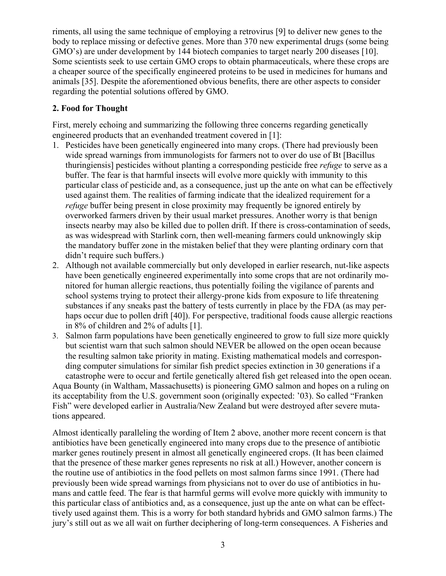riments, all using the same technique of employing a retrovirus [9] to deliver new genes to the body to replace missing or defective genes. More than 370 new experimental drugs (some being GMO's) are under development by 144 biotech companies to target nearly 200 diseases [10]. Some scientists seek to use certain GMO crops to obtain pharmaceuticals, where these crops are a cheaper source of the specifically engineered proteins to be used in medicines for humans and animals [35]. Despite the aforementioned obvious benefits, there are other aspects to consider regarding the potential solutions offered by GMO.

### **2. Food for Thought**

First, merely echoing and summarizing the following three concerns regarding genetically engineered products that an evenhanded treatment covered in [1]:

- 1. Pesticides have been genetically engineered into many crops. (There had previously been wide spread warnings from immunologists for farmers not to over do use of Bt [Bacillus thuringiensis] pesticides without planting a corresponding pesticide free *refuge* to serve as a buffer. The fear is that harmful insects will evolve more quickly with immunity to this particular class of pesticide and, as a consequence, just up the ante on what can be effectively used against them. The realities of farming indicate that the idealized requirement for a *refuge* buffer being present in close proximity may frequently be ignored entirely by overworked farmers driven by their usual market pressures. Another worry is that benign insects nearby may also be killed due to pollen drift. If there is cross-contamination of seeds, as was widespread with Starlink corn, then well-meaning farmers could unknowingly skip the mandatory buffer zone in the mistaken belief that they were planting ordinary corn that didn't require such buffers.)
- 2. Although not available commercially but only developed in earlier research, nut-like aspects have been genetically engineered experimentally into some crops that are not ordinarily monitored for human allergic reactions, thus potentially foiling the vigilance of parents and school systems trying to protect their allergy-prone kids from exposure to life threatening substances if any sneaks past the battery of tests currently in place by the FDA (as may perhaps occur due to pollen drift [40]). For perspective, traditional foods cause allergic reactions in 8% of children and 2% of adults [1].
- 3. Salmon farm populations have been genetically engineered to grow to full size more quickly but scientist warn that such salmon should NEVER be allowed on the open ocean because the resulting salmon take priority in mating. Existing mathematical models and corresponding computer simulations for similar fish predict species extinction in 30 generations if a catastrophe were to occur and fertile genetically altered fish get released into the open ocean. Aqua Bounty (in Waltham, Massachusetts) is pioneering GMO salmon and hopes on a ruling on its acceptability from the U.S. government soon (originally expected: '03). So called "Franken Fish" were developed earlier in Australia/New Zealand but were destroyed after severe mutations appeared.

Almost identically paralleling the wording of Item 2 above, another more recent concern is that antibiotics have been genetically engineered into many crops due to the presence of antibiotic marker genes routinely present in almost all genetically engineered crops. (It has been claimed that the presence of these marker genes represents no risk at all.) However, another concern is the routine use of antibiotics in the food pellets on most salmon farms since 1991. (There had previously been wide spread warnings from physicians not to over do use of antibiotics in humans and cattle feed. The fear is that harmful germs will evolve more quickly with immunity to this particular class of antibiotics and, as a consequence, just up the ante on what can be effecttively used against them. This is a worry for both standard hybrids and GMO salmon farms.) The jury's still out as we all wait on further deciphering of long-term consequences. A Fisheries and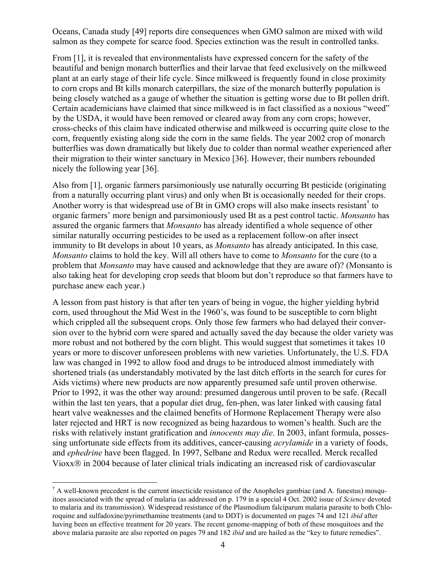Oceans, Canada study [49] reports dire consequences when GMO salmon are mixed with wild salmon as they compete for scarce food. Species extinction was the result in controlled tanks.

From [1], it is revealed that environmentalists have expressed concern for the safety of the beautiful and benign monarch butterflies and their larvae that feed exclusively on the milkweed plant at an early stage of their life cycle. Since milkweed is frequently found in close proximity to corn crops and Bt kills monarch caterpillars, the size of the monarch butterfly population is being closely watched as a gauge of whether the situation is getting worse due to Bt pollen drift. Certain academicians have claimed that since milkweed is in fact classified as a noxious "weed" by the USDA, it would have been removed or cleared away from any corn crops; however, cross-checks of this claim have indicated otherwise and milkweed is occurring quite close to the corn, frequently existing along side the corn in the same fields. The year 2002 crop of monarch butterflies was down dramatically but likely due to colder than normal weather experienced after their migration to their winter sanctuary in Mexico [36]. However, their numbers rebounded nicely the following year [36].

Also from [1], organic farmers parsimoniously use naturally occurring Bt pesticide (originating from a naturally occurring plant virus) and only when Bt is occasionally needed for their crops. Another worry is that widespread use of Bt in GMO crops will also make insects resistant<sup>[†](#page-3-0)</sup> to organic farmers' more benign and parsimoniously used Bt as a pest control tactic. *Monsanto* has assured the organic farmers that *Monsanto* has already identified a whole sequence of other similar naturally occurring pesticides to be used as a replacement follow-on after insect immunity to Bt develops in about 10 years, as *Monsanto* has already anticipated. In this case*, Monsanto* claims to hold the key. Will all others have to come to *Monsanto* for the cure (to a problem that *Monsanto* may have caused and acknowledge that they are aware of)? (Monsanto is also taking heat for developing crop seeds that bloom but don't reproduce so that farmers have to purchase anew each year.)

A lesson from past history is that after ten years of being in vogue, the higher yielding hybrid corn, used throughout the Mid West in the 1960's, was found to be susceptible to corn blight which crippled all the subsequent crops. Only those few farmers who had delayed their conversion over to the hybrid corn were spared and actually saved the day because the older variety was more robust and not bothered by the corn blight. This would suggest that sometimes it takes 10 years or more to discover unforeseen problems with new varieties. Unfortunately, the U.S. FDA law was changed in 1992 to allow food and drugs to be introduced almost immediately with shortened trials (as understandably motivated by the last ditch efforts in the search for cures for Aids victims) where new products are now apparently presumed safe until proven otherwise. Prior to 1992, it was the other way around: presumed dangerous until proven to be safe. (Recall within the last ten years, that a popular diet drug, fen-phen, was later linked with causing fatal heart valve weaknesses and the claimed benefits of Hormone Replacement Therapy were also later rejected and HRT is now recognized as being hazardous to women's health. Such are the risks with relatively instant gratification and *innocents may die*. In 2003, infant formula, possessing unfortunate side effects from its additives, cancer-causing *acrylamide* in a variety of foods, and *ephedrine* have been flagged. In 1997, Selbane and Redux were recalled. Merck recalled Vioxx<sup>®</sup> in 2004 because of later clinical trials indicating an increased risk of cardiovascular

 $\overline{a}$ 

<span id="page-3-0"></span><sup>†</sup> A well-known precedent is the current insecticide resistance of the Anopheles gambiae (and A. funestus) mosquitoes associated with the spread of malaria (as addressed on p. 179 in a special 4 Oct. 2002 issue of *Science* devoted to malaria and its transmission). Widespread resistance of the Plasmodium falciparum malaria parasite to both Chloroquine and sulfadoxine/pyrimethamine treatments (and to DDT) is documented on pages 74 and 121 *ibid* after having been an effective treatment for 20 years. The recent genome-mapping of both of these mosquitoes and the above malaria parasite are also reported on pages 79 and 182 *ibid* and are hailed as the "key to future remedies".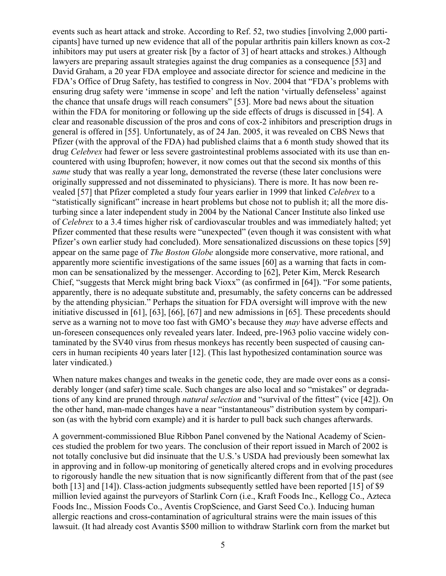events such as heart attack and stroke. According to Ref. 52, two studies [involving 2,000 participants] have turned up new evidence that all of the popular arthritis pain killers known as cox-2 inhibitors may put users at greater risk [by a factor of 3] of heart attacks and strokes.) Although lawyers are preparing assault strategies against the drug companies as a consequence [53] and David Graham, a 20 year FDA employee and associate director for science and medicine in the FDA's Office of Drug Safety, has testified to congress in Nov. 2004 that "FDA's problems with ensuring drug safety were 'immense in scope' and left the nation 'virtually defenseless' against the chance that unsafe drugs will reach consumers" [53]. More bad news about the situation within the FDA for monitoring or following up the side effects of drugs is discussed in [54]. A clear and reasonable discussion of the pros and cons of cox-2 inhibitors and prescription drugs in general is offered in [55]. Unfortunately, as of 24 Jan. 2005, it was revealed on CBS News that Pfizer (with the approval of the FDA) had published claims that a 6 month study showed that its drug *Celebrex* had fewer or less severe gastrointestinal problems associated with its use than encountered with using Ibuprofen; however, it now comes out that the second six months of this *same* study that was really a year long, demonstrated the reverse (these later conclusions were originally suppressed and not disseminated to physicians). There is more. It has now been revealed [57] that Pfizer completed a study four years earlier in 1999 that linked *Celebrex* to a "statistically significant" increase in heart problems but chose not to publish it; all the more disturbing since a later independent study in 2004 by the National Cancer Institute also linked use of *Celebrex* to a 3.4 times higher risk of cardiovascular troubles and was immediately halted; yet Pfizer commented that these results were "unexpected" (even though it was consistent with what Pfizer's own earlier study had concluded). More sensationalized discussions on these topics [59] appear on the same page of *The Boston Globe* alongside more conservative, more rational, and apparently more scientific investigations of the same issues [60] as a warning that facts in common can be sensationalized by the messenger. According to [62], Peter Kim, Merck Research Chief, "suggests that Merck might bring back Vioxx" (as confirmed in [64]). "For some patients, apparently, there is no adequate substitute and, presumably, the safety concerns can be addressed by the attending physician." Perhaps the situation for FDA oversight will improve with the new initiative discussed in [61], [63], [66], [67] and new admissions in [65]. These precedents should serve as a warning not to move too fast with GMO's because they *may* have adverse effects and un-foreseen consequences only revealed years later. Indeed, pre-1963 polio vaccine widely contaminated by the SV40 virus from rhesus monkeys has recently been suspected of causing cancers in human recipients 40 years later [12]. (This last hypothesized contamination source was later vindicated.)

When nature makes changes and tweaks in the genetic code, they are made over eons as a considerably longer (and safer) time scale. Such changes are also local and so "mistakes" or degradations of any kind are pruned through *natural selection* and "survival of the fittest" (vice [42]). On the other hand, man-made changes have a near "instantaneous" distribution system by comparison (as with the hybrid corn example) and it is harder to pull back such changes afterwards.

A government-commissioned Blue Ribbon Panel convened by the National Academy of Sciences studied the problem for two years. The conclusion of their report issued in March of 2002 is not totally conclusive but did insinuate that the U.S.'s USDA had previously been somewhat lax in approving and in follow-up monitoring of genetically altered crops and in evolving procedures to rigorously handle the new situation that is now significantly different from that of the past (see both [13] and [14]). Class-action judgments subsequently settled have been reported [15] of \$9 million levied against the purveyors of Starlink Corn (i.e., Kraft Foods Inc., Kellogg Co., Azteca Foods Inc., Mission Foods Co., Aventis CropScience, and Garst Seed Co.). Inducing human allergic reactions and cross-contamination of agricultural strains were the main issues of this lawsuit. (It had already cost Avantis \$500 million to withdraw Starlink corn from the market but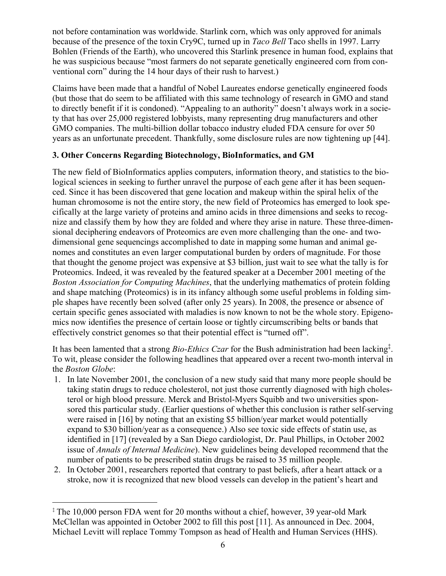not before contamination was worldwide. Starlink corn, which was only approved for animals because of the presence of the toxin Cry9C, turned up in *Taco Bell* Taco shells in 1997. Larry Bohlen (Friends of the Earth), who uncovered this Starlink presence in human food, explains that he was suspicious because "most farmers do not separate genetically engineered corn from conventional corn" during the 14 hour days of their rush to harvest.)

Claims have been made that a handful of Nobel Laureates endorse genetically engineered foods (but those that do seem to be affiliated with this same technology of research in GMO and stand to directly benefit if it is condoned). "Appealing to an authority" doesn't always work in a society that has over 25,000 registered lobbyists, many representing drug manufacturers and other GMO companies. The multi-billion dollar tobacco industry eluded FDA censure for over 50 years as an unfortunate precedent. Thankfully, some disclosure rules are now tightening up [44].

## **3. Other Concerns Regarding Biotechnology, BioInformatics, and GM**

The new field of BioInformatics applies computers, information theory, and statistics to the biological sciences in seeking to further unravel the purpose of each gene after it has been sequenced. Since it has been discovered that gene location and makeup within the spiral helix of the human chromosome is not the entire story, the new field of Proteomics has emerged to look specifically at the large variety of proteins and amino acids in three dimensions and seeks to recognize and classify them by how they are folded and where they arise in nature. These three-dimensional deciphering endeavors of Proteomics are even more challenging than the one- and twodimensional gene sequencings accomplished to date in mapping some human and animal genomes and constitutes an even larger computational burden by orders of magnitude. For those that thought the genome project was expensive at \$3 billion, just wait to see what the tally is for Proteomics. Indeed, it was revealed by the featured speaker at a December 2001 meeting of the *Boston Association for Computing Machines*, that the underlying mathematics of protein folding and shape matching (Proteomics) is in its infancy although some useful problems in folding simple shapes have recently been solved (after only 25 years). In 2008, the presence or absence of certain specific genes associated with maladies is now known to not be the whole story. Epigenomics now identifies the presence of certain loose or tightly circumscribing belts or bands that effectively constrict genomes so that their potential effect is "turned off".

It has been lamented that a strong *Bio-Ethics Czar* for the Bush administration had been lacking<sup>‡</sup>. To wit, please consider the following headlines that appeared over a recent two-month interval in the *Boston Globe*:

- 1. In late November 2001, the conclusion of a new study said that many more people should be taking statin drugs to reduce cholesterol, not just those currently diagnosed with high cholesterol or high blood pressure. Merck and Bristol-Myers Squibb and two universities sponsored this particular study. (Earlier questions of whether this conclusion is rather self-serving were raised in [16] by noting that an existing \$5 billion/year market would potentially expand to \$30 billion/year as a consequence.) Also see toxic side effects of statin use, as identified in [17] (revealed by a San Diego cardiologist, Dr. Paul Phillips, in October 2002 issue of *Annals of Internal Medicine*). New guidelines being developed recommend that the number of patients to be prescribed statin drugs be raised to 35 million people.
- 2. In October 2001, researchers reported that contrary to past beliefs, after a heart attack or a stroke, now it is recognized that new blood vessels can develop in the patient's heart and

 $\overline{a}$ 

<span id="page-5-0"></span><sup>‡</sup> The 10,000 person FDA went for 20 months without a chief, however, 39 year-old Mark McClellan was appointed in October 2002 to fill this post [11]. As announced in Dec. 2004, Michael Levitt will replace Tommy Tompson as head of Health and Human Services (HHS).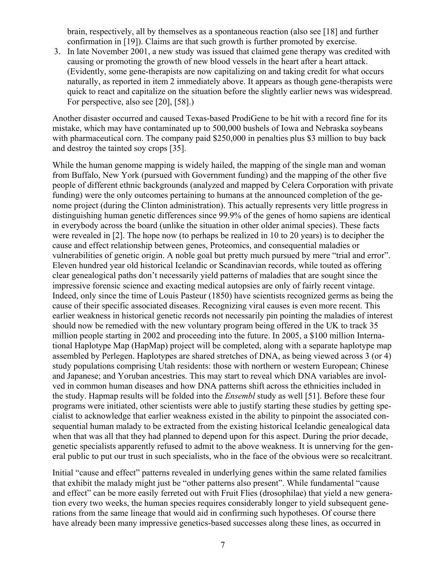brain, respectively, all by themselves as a spontaneous reaction (also see [18] and further confirmation in [19]). Claims are that such growth is further promoted by exercise.

3. In late November 2001, a new study was issued that claimed gene therapy was credited with causing or promoting the growth of new blood vessels in the heart after a heart attack. (Evidently, some gene-therapists are now capitalizing on and taking credit for what occurs naturally, as reported in item 2 immediately above. It appears as though gene-therapists were quick to react and capitalize on the situation before the slightly earlier news was widespread. For perspective, also see [20], [58].)

Another disaster occurred and caused Texas-based ProdiGene to be hit with a record fine for its mistake, which may have contaminated up to 500,000 bushels of Iowa and Nebraska soybeans with pharmaceutical corn. The company paid \$250,000 in penalties plus \$3 million to buy back and destroy the tainted soy crops [35].

While the human genome mapping is widely hailed, the mapping of the single man and woman from Buffalo, New York (pursued with Government funding) and the mapping of the other five people of different ethnic backgrounds (analyzed and mapped by Celera Corporation with private funding) were the only outcomes pertaining to humans at the announced completion of the genome project (during the Clinton administration). This actually represents very little progress in distinguishing human genetic differences since 99.9% of the genes of homo sapiens are identical in everybody across the board (unlike the situation in other older animal species). These facts were revealed in [2]. The hope now (to perhaps be realized in 10 to 20 years) is to decipher the cause and effect relationship between genes, Proteomics, and consequential maladies or vulnerabilities of genetic origin. A noble goal but pretty much pursued by mere "trial and error". Eleven hundred year old historical Icelandic or Scandinavian records, while touted as offering clear genealogical paths don't necessarily yield patterns of maladies that are sought since the impressive forensic science and exacting medical autopsies are only of fairly recent vintage. Indeed, only since the time of Louis Pasteur (1850) have scientists recognized germs as being the cause of their specific associated diseases. Recognizing viral causes is even more recent. This earlier weakness in historical genetic records not necessarily pin pointing the maladies of interest should now be remedied with the new voluntary program being offered in the UK to track 35 million people starting in 2002 and proceeding into the future. In 2005, a \$100 million International Haplotype Map (HapMap) project will be completed, along with a separate haplotype map assembled by Perlegen. Haplotypes are shared stretches of DNA, as being viewed across 3 (or 4) study populations comprising Utah residents: those with northern or western European; Chinese and Japanese; and Yoruban ancestries. This may start to reveal which DNA variables are involved in common human diseases and how DNA patterns shift across the ethnicities included in the study. Hapmap results will be folded into the *Ensembl* study as well [51]. Before these four programs were initiated, other scientists were able to justify starting these studies by getting specialist to acknowledge that earlier weakness existed in the ability to pinpoint the associated consequential human malady to be extracted from the existing historical Icelandic genealogical data when that was all that they had planned to depend upon for this aspect. During the prior decade, genetic specialists apparently refused to admit to the above weakness. It is unnerving for the general public to put our trust in such specialists, who in the face of the obvious were so recalcitrant.

Initial "cause and effect" patterns revealed in underlying genes within the same related families that exhibit the malady might just be "other patterns also present". While fundamental "cause and effect" can be more easily ferreted out with Fruit Flies (drosophilae) that yield a new generation every two weeks, the human species requires considerably longer to yield subsequent generations from the same lineage that would aid in confirming such hypotheses. Of course there have already been many impressive genetics-based successes along these lines, as occurred in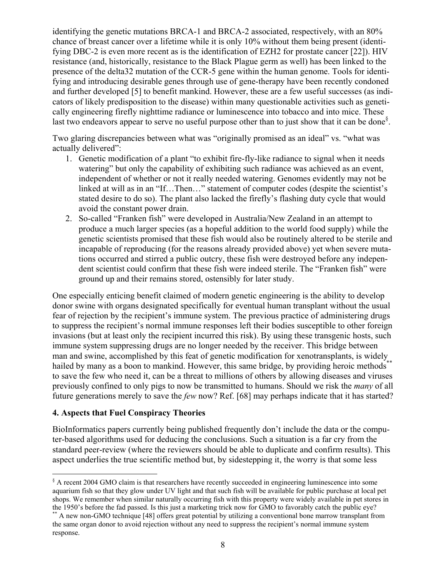identifying the genetic mutations BRCA-1 and BRCA-2 associated, respectively, with an 80% chance of breast cancer over a lifetime while it is only 10% without them being present (identifying DBC-2 is even more recent as is the identification of EZH2 for prostate cancer [22]). HIV resistance (and, historically, resistance to the Black Plague germ as well) has been linked to the presence of the delta32 mutation of the CCR-5 gene within the human genome. Tools for identifying and introducing desirable genes through use of gene-therapy have been recently condoned and further developed [5] to benefit mankind. However, these are a few useful successes (as indicators of likely predisposition to the disease) within many questionable activities such as genetically engineering firefly nighttime radiance or luminescence into tobacco and into mice. These last two endeavors appear to serve no useful purpose other than to just show that it can be done<sup>[§](#page-7-0)</sup>.

Two glaring discrepancies between what was "originally promised as an ideal" vs. "what was actually delivered":

- 1. Genetic modification of a plant "to exhibit fire-fly-like radiance to signal when it needs watering" but only the capability of exhibiting such radiance was achieved as an event, independent of whether or not it really needed watering. Genomes evidently may not be linked at will as in an "If...Then..." statement of computer codes (despite the scientist's stated desire to do so). The plant also lacked the firefly's flashing duty cycle that would avoid the constant power drain.
- 2. So-called "Franken fish" were developed in Australia/New Zealand in an attempt to produce a much larger species (as a hopeful addition to the world food supply) while the genetic scientists promised that these fish would also be routinely altered to be sterile and incapable of reproducing (for the reasons already provided above) yet when severe mutations occurred and stirred a public outcry, these fish were destroyed before any independent scientist could confirm that these fish were indeed sterile. The "Franken fish" were ground up and their remains stored, ostensibly for later study.

One especially enticing benefit claimed of modern genetic engineering is the ability to develop donor swine with organs designated specifically for eventual human transplant without the usual fear of rejection by the recipient's immune system. The previous practice of administering drugs to suppress the recipient's normal immune responses left their bodies susceptible to other foreign invasions (but at least only the recipient incurred this risk). By using these transgenic hosts, such immune system suppressing drugs are no longer needed by the receiver. This bridge between man and swine, accomplished by this feat of genetic modification for xenotransplants, is widely hailed by many as a boon to mankind. However, this same bridge, by providing heroic methods[\\*\\*](#page-7-1) to save the few who need it, can be a threat to millions of others by allowing diseases and viruses previously confined to only pigs to now be transmitted to humans. Should we risk the *many* of all future generations merely to save the *few* now? Ref. [68] may perhaps indicate that it has started?

#### **4. Aspects that Fuel Conspiracy Theories**

 $\overline{a}$ 

BioInformatics papers currently being published frequently don't include the data or the computer-based algorithms used for deducing the conclusions. Such a situation is a far cry from the standard peer-review (where the reviewers should be able to duplicate and confirm results). This aspect underlies the true scientific method but, by sidestepping it, the worry is that some less

<span id="page-7-0"></span><sup>&</sup>lt;sup>§</sup> A recent 2004 GMO claim is that researchers have recently succeeded in engineering luminescence into some aquarium fish so that they glow under UV light and that such fish will be available for public purchase at local pet shops. We remember when similar naturally occurring fish with this property were widely available in pet stores in the 1950's before the fad passed. Is this just a marketing trick now for GMO to favorably catch the public

<span id="page-7-1"></span> $*$  A new non-GMO technique [48] offers great potential by utilizing a conventional bone marrow transplant from the same organ donor to avoid rejection without any need to suppress the recipient's normal immune system response.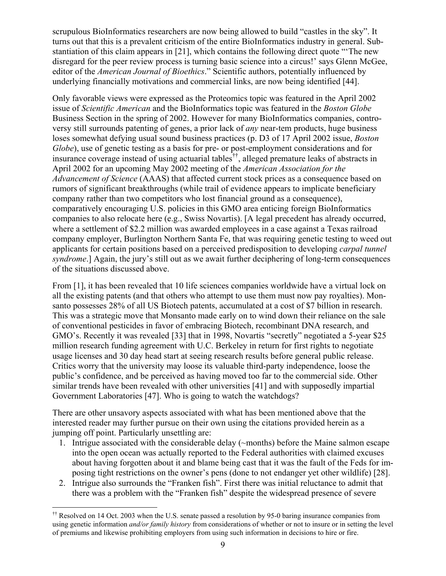scrupulous BioInformatics researchers are now being allowed to build "castles in the sky". It turns out that this is a prevalent criticism of the entire BioInformatics industry in general. Substantiation of this claim appears in [21], which contains the following direct quote "'The new disregard for the peer review process is turning basic science into a circus!' says Glenn McGee, editor of the *American Journal of Bioethics*." Scientific authors, potentially influenced by underlying financially motivations and commercial links, are now being identified [44].

Only favorable views were expressed as the Proteomics topic was featured in the April 2002 issue of *Scientific American* and the BioInformatics topic was featured in the *Boston Globe* Business Section in the spring of 2002. However for many BioInformatics companies, controversy still surrounds patenting of genes, a prior lack of *any* near-tem products, huge business loses somewhat defying usual sound business practices (p. D3 of 17 April 2002 issue, *Boston Globe*), use of genetic testing as a basis for pre- or post-employment considerations and for insurance coverage instead of using actuarial tables<sup>††</sup>, alleged premature leaks of abstracts in April 2002 for an upcoming May 2002 meeting of the *American Association for the Advancement of Science* (AAAS) that affected current stock prices as a consequence based on rumors of significant breakthroughs (while trail of evidence appears to implicate beneficiary company rather than two competitors who lost financial ground as a consequence), comparatively encouraging U.S. policies in this GMO area enticing foreign BioInformatics companies to also relocate here (e.g., Swiss Novartis). [A legal precedent has already occurred, where a settlement of \$2.2 million was awarded employees in a case against a Texas railroad company employer, Burlington Northern Santa Fe, that was requiring genetic testing to weed out applicants for certain positions based on a perceived predisposition to developing *carpal tunnel syndrome*.] Again, the jury's still out as we await further deciphering of long-term consequences of the situations discussed above.

From [1], it has been revealed that 10 life sciences companies worldwide have a virtual lock on all the existing patents (and that others who attempt to use them must now pay royalties). Monsanto possesses 28% of all US Biotech patents, accumulated at a cost of \$7 billion in research. This was a strategic move that Monsanto made early on to wind down their reliance on the sale of conventional pesticides in favor of embracing Biotech, recombinant DNA research, and GMO's. Recently it was revealed [33] that in 1998, Novartis "secretly" negotiated a 5-year \$25 million research funding agreement with U.C. Berkeley in return for first rights to negotiate usage licenses and 30 day head start at seeing research results before general public release. Critics worry that the university may loose its valuable third-party independence, loose the public's confidence, and be perceived as having moved too far to the commercial side. Other similar trends have been revealed with other universities [41] and with supposedly impartial Government Laboratories [47]. Who is going to watch the watchdogs?

There are other unsavory aspects associated with what has been mentioned above that the interested reader may further pursue on their own using the citations provided herein as a jumping off point. Particularly unsettling are:

- 1. Intrigue associated with the considerable delay (~months) before the Maine salmon escape into the open ocean was actually reported to the Federal authorities with claimed excuses about having forgotten about it and blame being cast that it was the fault of the Feds for imposing tight restrictions on the owner's pens (done to not endanger yet other wildlife) [28].
- 2. Intrigue also surrounds the "Franken fish". First there was initial reluctance to admit that there was a problem with the "Franken fish" despite the widespread presence of severe

<span id="page-8-0"></span> $\overline{a}$ †† Resolved on 14 Oct. 2003 when the U.S. senate passed a resolution by 95-0 baring insurance companies from using genetic information *and/or family history* from considerations of whether or not to insure or in setting the level of premiums and likewise prohibiting employers from using such information in decisions to hire or fire.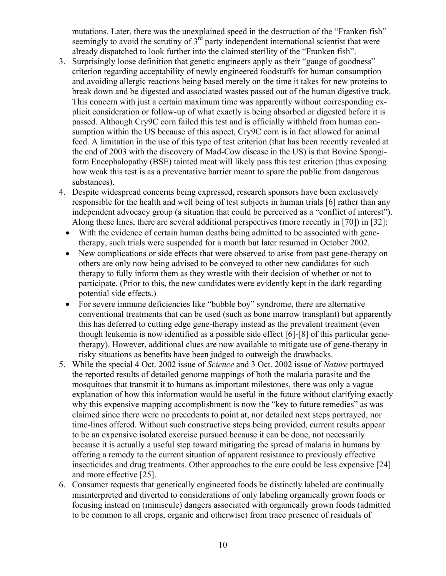mutations. Later, there was the unexplained speed in the destruction of the "Franken fish" seemingly to avoid the scrutiny of  $3<sup>rd</sup>$  party independent international scientist that were already dispatched to look further into the claimed sterility of the "Franken fish".

- 3. Surprisingly loose definition that genetic engineers apply as their "gauge of goodness" criterion regarding acceptability of newly engineered foodstuffs for human consumption and avoiding allergic reactions being based merely on the time it takes for new proteins to break down and be digested and associated wastes passed out of the human digestive track. This concern with just a certain maximum time was apparently without corresponding explicit consideration or follow-up of what exactly is being absorbed or digested before it is passed. Although Cry9C corn failed this test and is officially withheld from human consumption within the US because of this aspect, Cry9C corn is in fact allowed for animal feed. A limitation in the use of this type of test criterion (that has been recently revealed at the end of 2003 with the discovery of Mad-Cow disease in the US) is that Bovine Spongiform Encephalopathy (BSE) tainted meat will likely pass this test criterion (thus exposing how weak this test is as a preventative barrier meant to spare the public from dangerous substances).
- 4. Despite widespread concerns being expressed, research sponsors have been exclusively responsible for the health and well being of test subjects in human trials [6] rather than any independent advocacy group (a situation that could be perceived as a "conflict of interest"). Along these lines, there are several additional perspectives (more recently in [70]) in [32]:
	- With the evidence of certain human deaths being admitted to be associated with genetherapy, such trials were suspended for a month but later resumed in October 2002.
	- New complications or side effects that were observed to arise from past gene-therapy on others are only now being advised to be conveyed to other new candidates for such therapy to fully inform them as they wrestle with their decision of whether or not to participate. (Prior to this, the new candidates were evidently kept in the dark regarding potential side effects.)
	- For severe immune deficiencies like "bubble boy" syndrome, there are alternative conventional treatments that can be used (such as bone marrow transplant) but apparently this has deferred to cutting edge gene-therapy instead as the prevalent treatment (even though leukemia is now identified as a possible side effect [6]-[8] of this particular genetherapy). However, additional clues are now available to mitigate use of gene-therapy in risky situations as benefits have been judged to outweigh the drawbacks.
- 5. While the special 4 Oct. 2002 issue of *Science* and 3 Oct. 2002 issue of *Nature* portrayed the reported results of detailed genome mappings of both the malaria parasite and the mosquitoes that transmit it to humans as important milestones, there was only a vague explanation of how this information would be useful in the future without clarifying exactly why this expensive mapping accomplishment is now the "key to future remedies" as was claimed since there were no precedents to point at, nor detailed next steps portrayed, nor time-lines offered. Without such constructive steps being provided, current results appear to be an expensive isolated exercise pursued because it can be done, not necessarily because it is actually a useful step toward mitigating the spread of malaria in humans by offering a remedy to the current situation of apparent resistance to previously effective insecticides and drug treatments. Other approaches to the cure could be less expensive [24] and more effective [25].
- 6. Consumer requests that genetically engineered foods be distinctly labeled are continually misinterpreted and diverted to considerations of only labeling organically grown foods or focusing instead on (miniscule) dangers associated with organically grown foods (admitted to be common to all crops, organic and otherwise) from trace presence of residuals of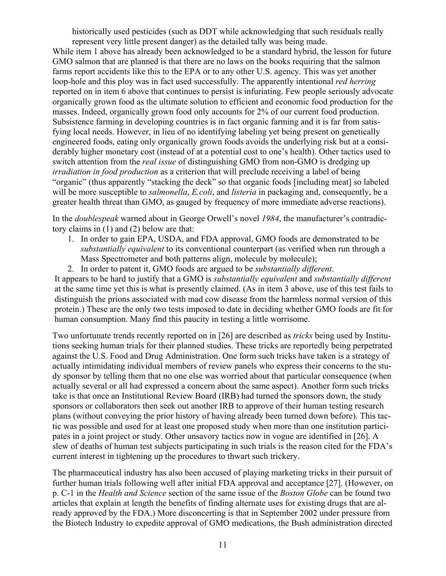historically used pesticides (such as DDT while acknowledging that such residuals really represent very little present danger) as the detailed tally was being made.

While item 1 above has already been acknowledged to be a standard hybrid, the lesson for future GMO salmon that are planned is that there are no laws on the books requiring that the salmon farms report accidents like this to the EPA or to any other U.S. agency. This was yet another loop-hole and this ploy was in fact used successfully. The apparently intentional *red herring* reported on in item 6 above that continues to persist is infuriating. Few people seriously advocate organically grown food as the ultimate solution to efficient and economic food production for the masses. Indeed, organically grown food only accounts for 2% of our current food production. Subsistence farming in developing countries is in fact organic farming and it is far from satisfying local needs. However, in lieu of no identifying labeling yet being present on genetically engineered foods, eating only organically grown foods avoids the underlying risk but at a considerably higher monetary cost (instead of at a potential cost to one's health). Other tactics used to switch attention from the *real issue* of distinguishing GMO from non-GMO is dredging up *irradiation in food production* as a criterion that will preclude receiving a label of being "organic" (thus apparently "stacking the deck" so that organic foods [including meat] so labeled will be more susceptible to *salmonella*, *E.coli*, and *listeria* in packaging and, consequently, be a greater health threat than GMO, as gauged by frequency of more immediate adverse reactions).

In the *doublespeak* warned about in George Orwell's novel *1984*, the manufacturer's contradictory claims in (1) and (2) below are that:

- 1. In order to gain EPA, USDA, and FDA approval, GMO foods are demonstrated to be *substantially equivalent* to its conventional counterpart (as verified when run through a Mass Spectrometer and both patterns align, molecule by molecule);
- 2. In order to patent it, GMO foods are argued to be *substantially different*.

It appears to be hard to justify that a GMO is *substantially equivalent* and *substantially different*  at the same time yet this is what is presently claimed. (As in item 3 above, use of this test fails to distinguish the prions associated with mad cow disease from the harmless normal version of this protein.) These are the only two tests imposed to date in deciding whether GMO foods are fit for human consumption. Many find this paucity in testing a little worrisome.

Two unfortunate trends recently reported on in [26] are described as *tricks* being used by Institutions seeking human trials for their planned studies. These tricks are reportedly being perpetrated against the U.S. Food and Drug Administration. One form such tricks have taken is a strategy of actually intimidating individual members of review panels who express their concerns to the study sponsor by telling them that no one else was worried about that particular consequence (when actually several or all had expressed a concern about the same aspect). Another form such tricks take is that once an Institutional Review Board (IRB) had turned the sponsors down, the study sponsors or collaborators then seek out another IRB to approve of their human testing research plans (without conveying the prior history of having already been turned down before). This tactic was possible and used for at least one proposed study when more than one institution participates in a joint project or study. Other unsavory tactics now in vogue are identified in [26]. A slew of deaths of human test subjects participating in such trials is the reason cited for the FDA's current interest in tightening up the procedures to thwart such trickery.

The pharmaceutical industry has also been accused of playing marketing tricks in their pursuit of further human trials following well after initial FDA approval and acceptance [27]. (However, on p. C-1 in the *Health and Science* section of the same issue of the *Boston Globe* can be found two articles that explain at length the benefits of finding alternate uses for existing drugs that are already approved by the FDA.) More disconcerting is that in September 2002 under pressure from the Biotech Industry to expedite approval of GMO medications, the Bush administration directed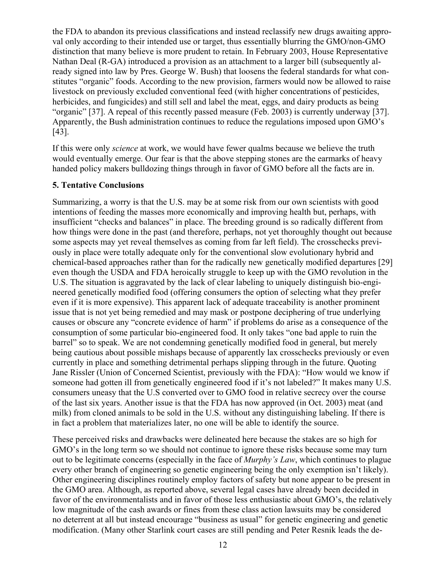the FDA to abandon its previous classifications and instead reclassify new drugs awaiting approval only according to their intended use or target, thus essentially blurring the GMO/non-GMO distinction that many believe is more prudent to retain. In February 2003, House Representative Nathan Deal (R-GA) introduced a provision as an attachment to a larger bill (subsequently already signed into law by Pres. George W. Bush) that loosens the federal standards for what constitutes "organic" foods. According to the new provision, farmers would now be allowed to raise livestock on previously excluded conventional feed (with higher concentrations of pesticides, herbicides, and fungicides) and still sell and label the meat, eggs, and dairy products as being "organic" [37]. A repeal of this recently passed measure (Feb. 2003) is currently underway [37]. Apparently, the Bush administration continues to reduce the regulations imposed upon GMO's [43].

If this were only *science* at work, we would have fewer qualms because we believe the truth would eventually emerge. Our fear is that the above stepping stones are the earmarks of heavy handed policy makers bulldozing things through in favor of GMO before all the facts are in.

#### **5. Tentative Conclusions**

Summarizing, a worry is that the U.S. may be at some risk from our own scientists with good intentions of feeding the masses more economically and improving health but, perhaps, with insufficient "checks and balances" in place. The breeding ground is so radically different from how things were done in the past (and therefore, perhaps, not yet thoroughly thought out because some aspects may yet reveal themselves as coming from far left field). The crosschecks previously in place were totally adequate only for the conventional slow evolutionary hybrid and chemical-based approaches rather than for the radically new genetically modified departures [29] even though the USDA and FDA heroically struggle to keep up with the GMO revolution in the U.S. The situation is aggravated by the lack of clear labeling to uniquely distinguish bio-engineered genetically modified food (offering consumers the option of selecting what they prefer even if it is more expensive). This apparent lack of adequate traceability is another prominent issue that is not yet being remedied and may mask or postpone deciphering of true underlying causes or obscure any "concrete evidence of harm" if problems do arise as a consequence of the consumption of some particular bio-engineered food. It only takes "one bad apple to ruin the barrel" so to speak. We are not condemning genetically modified food in general, but merely being cautious about possible mishaps because of apparently lax crosschecks previously or even currently in place and something detrimental perhaps slipping through in the future. Quoting Jane Rissler (Union of Concerned Scientist, previously with the FDA): "How would we know if someone had gotten ill from genetically engineered food if it's not labeled?" It makes many U.S. consumers uneasy that the U.S converted over to GMO food in relative secrecy over the course of the last six years. Another issue is that the FDA has now approved (in Oct. 2003) meat (and milk) from cloned animals to be sold in the U.S. without any distinguishing labeling. If there is in fact a problem that materializes later, no one will be able to identify the source.

These perceived risks and drawbacks were delineated here because the stakes are so high for GMO's in the long term so we should not continue to ignore these risks because some may turn out to be legitimate concerns (especially in the face of *Murphy's Law*, which continues to plague every other branch of engineering so genetic engineering being the only exemption isn't likely). Other engineering disciplines routinely employ factors of safety but none appear to be present in the GMO area. Although, as reported above, several legal cases have already been decided in favor of the environmentalists and in favor of those less enthusiastic about GMO's, the relatively low magnitude of the cash awards or fines from these class action lawsuits may be considered no deterrent at all but instead encourage "business as usual" for genetic engineering and genetic modification. (Many other Starlink court cases are still pending and Peter Resnik leads the de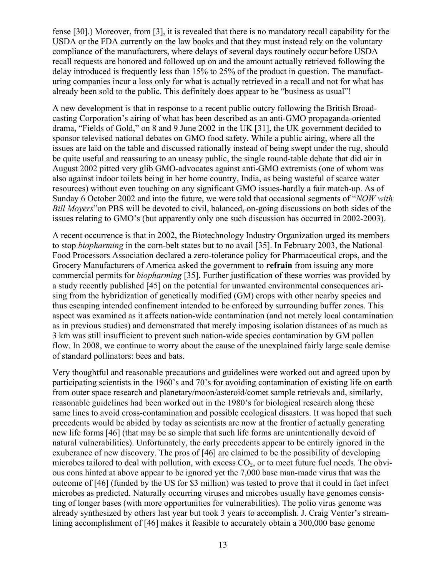fense [30].) Moreover, from [3], it is revealed that there is no mandatory recall capability for the USDA or the FDA currently on the law books and that they must instead rely on the voluntary compliance of the manufacturers, where delays of several days routinely occur before USDA recall requests are honored and followed up on and the amount actually retrieved following the delay introduced is frequently less than 15% to 25% of the product in question. The manufacturing companies incur a loss only for what is actually retrieved in a recall and not for what has already been sold to the public. This definitely does appear to be "business as usual"!

A new development is that in response to a recent public outcry following the British Broadcasting Corporation's airing of what has been described as an anti-GMO propaganda-oriented drama, "Fields of Gold," on 8 and 9 June 2002 in the UK [31], the UK government decided to sponsor televised national debates on GMO food safety. While a public airing, where all the issues are laid on the table and discussed rationally instead of being swept under the rug, should be quite useful and reassuring to an uneasy public, the single round-table debate that did air in August 2002 pitted very glib GMO-advocates against anti-GMO extremists (one of whom was also against indoor toilets being in her home country, India, as being wasteful of scarce water resources) without even touching on any significant GMO issues-hardly a fair match-up. As of Sunday 6 October 2002 and into the future, we were told that occasional segments of "*NOW with Bill Moyers*"on PBS will be devoted to civil, balanced, on-going discussions on both sides of the issues relating to GMO's (but apparently only one such discussion has occurred in 2002-2003).

A recent occurrence is that in 2002, the Biotechnology Industry Organization urged its members to stop *biopharming* in the corn-belt states but to no avail [35]. In February 2003, the National Food Processors Association declared a zero-tolerance policy for Pharmaceutical crops, and the Grocery Manufacturers of America asked the government to **refrain** from issuing any more commercial permits for *biopharming* [35]. Further justification of these worries was provided by a study recently published [45] on the potential for unwanted environmental consequences arising from the hybridization of genetically modified (GM) crops with other nearby species and thus escaping intended confinement intended to be enforced by surrounding buffer zones. This aspect was examined as it affects nation-wide contamination (and not merely local contamination as in previous studies) and demonstrated that merely imposing isolation distances of as much as 3 km was still insufficient to prevent such nation-wide species contamination by GM pollen flow. In 2008, we continue to worry about the cause of the unexplained fairly large scale demise of standard pollinators: bees and bats.

Very thoughtful and reasonable precautions and guidelines were worked out and agreed upon by participating scientists in the 1960's and 70's for avoiding contamination of existing life on earth from outer space research and planetary/moon/asteroid/comet sample retrievals and, similarly, reasonable guidelines had been worked out in the 1980's for biological research along these same lines to avoid cross-contamination and possible ecological disasters. It was hoped that such precedents would be abided by today as scientists are now at the frontier of actually generating new life forms [46] (that may be so simple that such life forms are unintentionally devoid of natural vulnerabilities). Unfortunately, the early precedents appear to be entirely ignored in the exuberance of new discovery. The pros of [46] are claimed to be the possibility of developing microbes tailored to deal with pollution, with excess  $CO<sub>2</sub>$ , or to meet future fuel needs. The obvious cons hinted at above appear to be ignored yet the 7,000 base man-made virus that was the outcome of [46] (funded by the US for \$3 million) was tested to prove that it could in fact infect microbes as predicted. Naturally occurring viruses and microbes usually have genomes consisting of longer bases (with more opportunities for vulnerabilities). The polio virus genome was already synthesized by others last year but took 3 years to accomplish. J. Craig Venter's streamlining accomplishment of [46] makes it feasible to accurately obtain a 300,000 base genome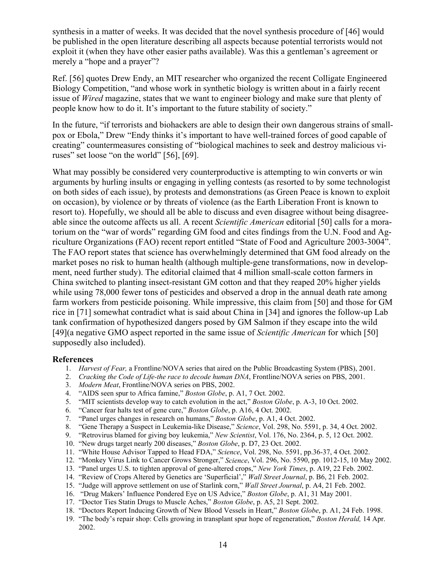synthesis in a matter of weeks. It was decided that the novel synthesis procedure of [46] would be published in the open literature describing all aspects because potential terrorists would not exploit it (when they have other easier paths available). Was this a gentleman's agreement or merely a "hope and a prayer"?

Ref. [56] quotes Drew Endy, an MIT researcher who organized the recent Colligate Engineered Biology Competition, "and whose work in synthetic biology is written about in a fairly recent issue of *Wired* magazine, states that we want to engineer biology and make sure that plenty of people know how to do it. It's important to the future stability of society."

In the future, "if terrorists and biohackers are able to design their own dangerous strains of smallpox or Ebola," Drew "Endy thinks it's important to have well-trained forces of good capable of creating" countermeasures consisting of "biological machines to seek and destroy malicious viruses" set loose "on the world" [56], [69].

What may possibly be considered very counterproductive is attempting to win converts or win arguments by hurling insults or engaging in yelling contests (as resorted to by some technologist on both sides of each issue), by protests and demonstrations (as Green Peace is known to exploit on occasion), by violence or by threats of violence (as the Earth Liberation Front is known to resort to). Hopefully, we should all be able to discuss and even disagree without being disagreeable since the outcome affects us all. A recent *Scientific American* editorial [50] calls for a moratorium on the "war of words" regarding GM food and cites findings from the U.N. Food and Agriculture Organizations (FAO) recent report entitled "State of Food and Agriculture 2003-3004". The FAO report states that science has overwhelmingly determined that GM food already on the market poses no risk to human health (although multiple-gene transformations, now in development, need further study). The editorial claimed that 4 million small-scale cotton farmers in China switched to planting insect-resistant GM cotton and that they reaped 20% higher yields while using 78,000 fewer tons of pesticides and observed a drop in the annual death rate among farm workers from pesticide poisoning. While impressive, this claim from [50] and those for GM rice in [71] somewhat contradict what is said about China in [34] and ignores the follow-up Lab tank confirmation of hypothesized dangers posed by GM Salmon if they escape into the wild [49](a negative GMO aspect reported in the same issue of *Scientific American* for which [50] supposedly also included).

#### **References**

- 1. *Harvest of Fear,* a Frontline/NOVA series that aired on the Public Broadcasting System (PBS), 2001.
- 2. *Cracking the Code of Life-the race to decode human DNA*, Frontline/NOVA series on PBS, 2001.
- 3. *Modern Meat*, Frontline/NOVA series on PBS, 2002.
- 4. "AIDS seen spur to Africa famine," *Boston Globe*, p. A1, 7 Oct. 2002.
- 5. "MIT scientists develop way to catch evolution in the act," *Boston Globe*, p. A-3, 10 Oct. 2002.
- 6. "Cancer fear halts test of gene cure," *Boston Globe*, p. A16, 4 Oct. 2002.
- 7. "Panel urges changes in research on humans," *Boston Globe*, p. A1, 4 Oct. 2002.
- 8. "Gene Therapy a Suspect in Leukemia-like Disease," *Science*, Vol. 298, No. 5591, p. 34, 4 Oct. 2002.
- 9. "Retrovirus blamed for giving boy leukemia," *New Scientist*, Vol. 176, No. 2364, p. 5, 12 Oct. 2002.
- 10. "New drugs target nearly 200 diseases," *Boston Globe*, p. D7, 23 Oct. 2002.
- 11. "White House Advisor Tapped to Head FDA," *Science*, Vol. 298, No. 5591, pp.36-37, 4 Oct. 2002.
- 12. "Monkey Virus Link to Cancer Grows Stronger," *Science*, Vol. 296, No. 5590, pp. 1012-15, 10 May 2002.
- 13. "Panel urges U.S. to tighten approval of gene-altered crops," *New York Times*, p. A19, 22 Feb. 2002.
- 14. "Review of Crops Altered by Genetics are 'Superficial'," *Wall Street Journal*, p. B6, 21 Feb. 2002.
- 15. "Judge will approve settlement on use of Starlink corn," *Wall Street Journal*, p. A4, 21 Feb. 2002.
- 16. "Drug Makers' Influence Pondered Eye on US Advice," *Boston Globe*, p. A1, 31 May 2001.
- 17. "Doctor Ties Statin Drugs to Muscle Aches," *Boston Globe*, p. A5, 21 Sept. 2002.
- 18. "Doctors Report Inducing Growth of New Blood Vessels in Heart," *Boston Globe*, p. A1, 24 Feb. 1998.
- 19. "The body's repair shop: Cells growing in transplant spur hope of regeneration," *Boston Herald,* 14 Apr. 2002.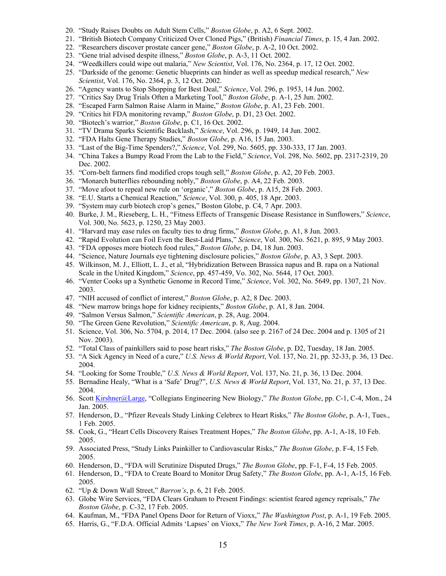- 20. "Study Raises Doubts on Adult Stem Cells," *Boston Globe*, p. A2, 6 Sept. 2002.
- 21. "British Biotech Company Criticized Over Cloned Pigs," (British) *Financial Times*, p. 15, 4 Jan. 2002.
- 22. "Researchers discover prostate cancer gene," *Boston Globe*, p. A-2, 10 Oct. 2002.
- 23. "Gene trial advised despite illness," *Boston Globe*, p. A-3, 11 Oct. 2002.
- 24. "Weedkillers could wipe out malaria," *New Scientist*, Vol. 176, No. 2364, p. 17, 12 Oct. 2002.
- 25. "Darkside of the genome: Genetic blueprints can hinder as well as speedup medical research," *New Scientist*, Vol. 176, No. 2364, p. 3, 12 Oct. 2002.
- 26. "Agency wants to Stop Shopping for Best Deal," *Science*, Vol. 296, p. 1953, 14 Jun. 2002.
- 27. "Critics Say Drug Trials Often a Marketing Tool," *Boston Globe*, p. A-1, 25 Jun. 2002.
- 28. "Escaped Farm Salmon Raise Alarm in Maine," *Boston Globe*, p. A1, 23 Feb. 2001.
- 29. "Critics hit FDA monitoring revamp," *Boston Globe*, p. D1, 23 Oct. 2002.
- 30. "Biotech's warrior," *Boston Globe*, p. C1, 16 Oct. 2002.
- 31. "TV Drama Sparks Scientific Backlash," *Science*, Vol. 296, p. 1949, 14 Jun. 2002.
- 32. "FDA Halts Gene Therapy Studies," *Boston Globe*, p. A16, 15 Jan. 2003.
- 33. "Last of the Big-Time Spenders?," *Science*, Vol. 299, No. 5605, pp. 330-333, 17 Jan. 2003.
- 34. "China Takes a Bumpy Road From the Lab to the Field," *Science*, Vol. 298, No. 5602, pp. 2317-2319, 20 Dec. 2002.
- 35. "Corn-belt farmers find modified crops tough sell," *Boston Globe*, p. A2, 20 Feb. 2003.
- 36. "Monarch butterflies rebounding nobly," *Boston Globe*, p. A4, 22 Feb. 2003.
- 37. "Move afoot to repeal new rule on 'organic'," *Boston Globe*, p. A15, 28 Feb. 2003.
- 38. "E.U. Starts a Chemical Reaction," *Science*, Vol. 300, p. 405, 18 Apr. 2003.
- 39. "System may curb biotech crop's genes," Boston Globe, p. C4, 7 Apr. 2003.
- 40. Burke, J. M., Rieseberg, L. H., "Fitness Effects of Transgenic Disease Resistance in Sunflowers," *Science*, Vol. 300, No. 5623, p. 1250, 23 May 2003.
- 41. "Harvard may ease rules on faculty ties to drug firms," *Boston Globe*, p. A1, 8 Jun. 2003.
- 42. "Rapid Evolution can Foil Even the Best-Laid Plans," *Science*, Vol. 300, No. 5621, p. 895, 9 May 2003.
- 43. "FDA opposes more biotech food rules," *Boston Globe*, p. D4, 18 Jun. 2003.
- 44. "Science, Nature Journals eye tightening disclosure policies," *Boston Globe*, p. A3, 3 Sept. 2003.
- 45. Wilkinson, M. J., Elliott, L. J., et al, "Hybridization Between Brassica napus and B. rapa on a National Scale in the United Kingdom," *Science*, pp. 457-459, Vo. 302, No. 5644, 17 Oct. 2003.
- 46. "Venter Cooks up a Synthetic Genome in Record Time," *Science*, Vol. 302, No. 5649, pp. 1307, 21 Nov. 2003.
- 47. "NIH accused of conflict of interest," *Boston Globe*, p. A2, 8 Dec. 2003.
- 48. "New marrow brings hope for kidney recipients," *Boston Globe*, p. A1, 8 Jan. 2004.
- 49. "Salmon Versus Salmon," *Scientific American*, p. 28, Aug. 2004.
- 50. "The Green Gene Revolution," *Scientific American*, p. 8, Aug. 2004.
- 51. Science, Vol. 306, No. 5704, p. 2014, 17 Dec. 2004. (also see p. 2167 of 24 Dec. 2004 and p. 1305 of 21 Nov. 2003).
- 52. "Total Class of painkillers said to pose heart risks," *The Boston Globe*, p. D2, Tuesday, 18 Jan. 2005.
- 53. "A Sick Agency in Need of a cure," *U.S. News & World Report*, Vol. 137, No. 21, pp. 32-33, p. 36, 13 Dec. 2004.
- 54. "Looking for Some Trouble," *U.S. News & World Report*, Vol. 137, No. 21, p. 36, 13 Dec. 2004.
- 55. Bernadine Healy, "What is a 'Safe' Drug?", *U.S. News & World Report*, Vol. 137, No. 21, p. 37, 13 Dec. 2004.
- 56. Scott [Kirshner@Large,](mailto:Kirshner@Large) "Collegians Engineering New Biology," *The Boston Globe*, pp. C-1, C-4, Mon., 24 Jan. 2005.
- 57. Henderson, D., "Pfizer Reveals Study Linking Celebrex to Heart Risks," *The Boston Globe*, p. A-1, Tues., 1 Feb. 2005.
- 58. Cook, G., "Heart Cells Discovery Raises Treatment Hopes," *The Boston Globe*, pp. A-1, A-18, 10 Feb. 2005.
- 59. Associated Press, "Study Links Painkiller to Cardiovascular Risks," *The Boston Globe*, p. F-4, 15 Feb. 2005.
- 60. Henderson, D., "FDA will Scrutinize Disputed Drugs," *The Boston Globe*, pp. F-1, F-4, 15 Feb. 2005.
- 61. Henderson, D., "FDA to Create Board to Monitor Drug Safety," *The Boston Globe*, pp. A-1, A-15, 16 Feb. 2005.
- 62. "Up & Down Wall Street," *Barron's*, p. 6, 21 Feb. 2005.
- 63. Globe Wire Services, "FDA Clears Graham to Present Findings: scientist feared agency reprisals," *The Boston Globe*, p. C-32, 17 Feb. 2005.
- 64. Kaufman, M., "FDA Panel Opens Door for Return of Vioxx," *The Washington Post*, p. A-1, 19 Feb. 2005.
- 65. Harris, G., "F.D.A. Official Admits 'Lapses' on Vioxx," *The New York Times*, p. A-16, 2 Mar. 2005.